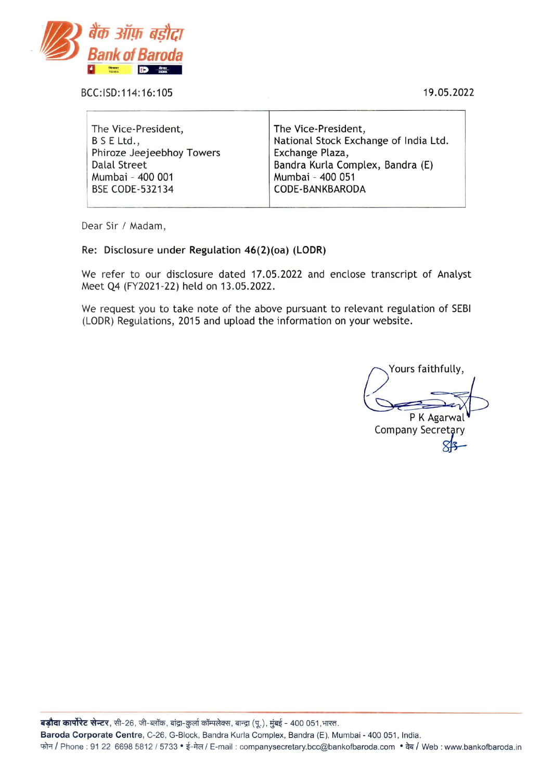

BCC: ISD: 114: 16:105 19.05.2022

| The Vice-President,       | The Vice-President,                   |
|---------------------------|---------------------------------------|
| B S E Ltd.,               | National Stock Exchange of India Ltd. |
| Phiroze Jeejeebhoy Towers | Exchange Plaza,                       |
| Dalal Street              | Bandra Kurla Complex, Bandra (E)      |
| Mumbai - 400 001          | Mumbai - 400 051                      |
| <b>BSE CODE-532134</b>    | CODE-BANKBARODA                       |
|                           |                                       |

Dear Sir / Madam,

#### Re: Disclosure under Regulation 46(2)(oa) (LODR)

We refer to our disclosure dated 17.05.2022 and enclose transcript of Analyst Meet Q4 (FY2021-22) held on 13.05.2022.

We request you to take note of the above pursuant to relevant regulation of SEBI (LODR) Regulations, 2015 and upload the information on your website.

Yours faithfully, P K Agarwal Company Secretary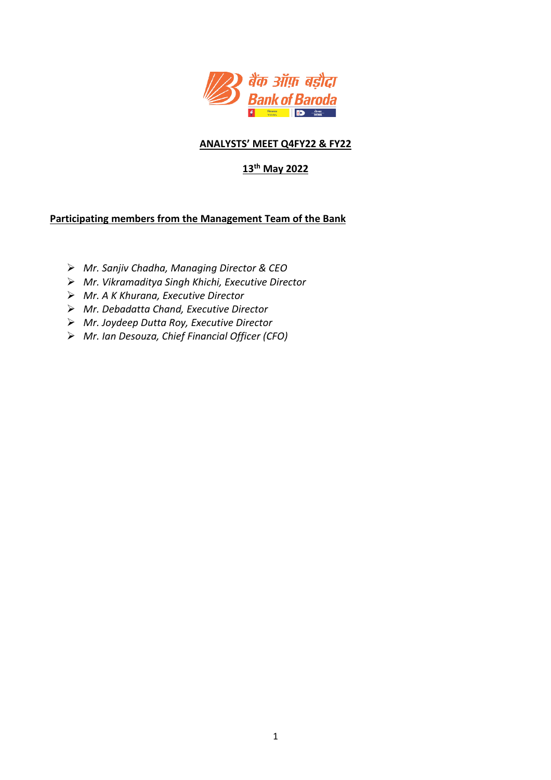

## **ANALYSTS' MEET Q4FY22 & FY22**

# **13th May 2022**

## **Participating members from the Management Team of the Bank**

- *Mr. Sanjiv Chadha, Managing Director & CEO*
- *Mr. Vikramaditya Singh Khichi, Executive Director*
- *Mr. A K Khurana, Executive Director*
- *Mr. Debadatta Chand, Executive Director*
- *Mr. Joydeep Dutta Roy, Executive Director*
- *Mr. Ian Desouza, Chief Financial Officer (CFO)*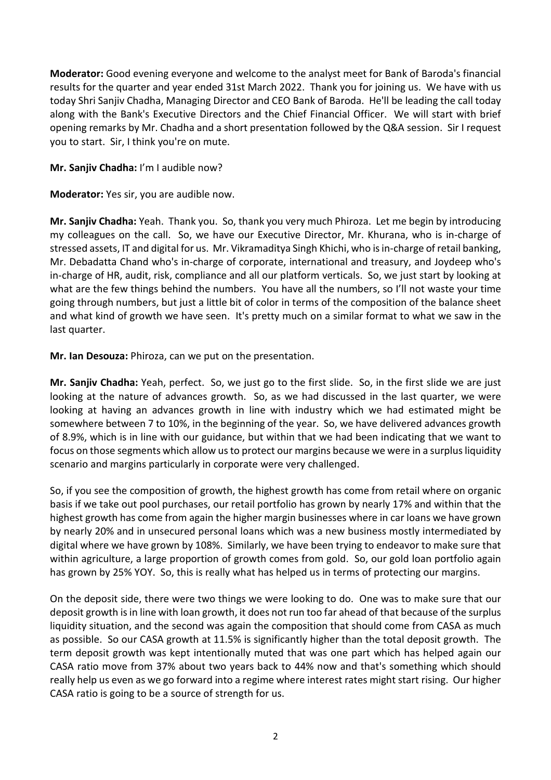**Moderator:** Good evening everyone and welcome to the analyst meet for Bank of Baroda's financial results for the quarter and year ended 31st March 2022. Thank you for joining us. We have with us today Shri Sanjiv Chadha, Managing Director and CEO Bank of Baroda. He'll be leading the call today along with the Bank's Executive Directors and the Chief Financial Officer. We will start with brief opening remarks by Mr. Chadha and a short presentation followed by the Q&A session. Sir I request you to start. Sir, I think you're on mute.

### **Mr. Sanjiv Chadha:** I'm I audible now?

**Moderator:** Yes sir, you are audible now.

**Mr. Sanjiv Chadha:** Yeah. Thank you. So, thank you very much Phiroza. Let me begin by introducing my colleagues on the call. So, we have our Executive Director, Mr. Khurana, who is in-charge of stressed assets, IT and digital for us. Mr. Vikramaditya Singh Khichi, who isin-charge of retail banking, Mr. Debadatta Chand who's in-charge of corporate, international and treasury, and Joydeep who's in-charge of HR, audit, risk, compliance and all our platform verticals. So, we just start by looking at what are the few things behind the numbers. You have all the numbers, so I'll not waste your time going through numbers, but just a little bit of color in terms of the composition of the balance sheet and what kind of growth we have seen. It's pretty much on a similar format to what we saw in the last quarter.

**Mr. Ian Desouza:** Phiroza, can we put on the presentation.

**Mr. Sanjiv Chadha:** Yeah, perfect. So, we just go to the first slide. So, in the first slide we are just looking at the nature of advances growth. So, as we had discussed in the last quarter, we were looking at having an advances growth in line with industry which we had estimated might be somewhere between 7 to 10%, in the beginning of the year. So, we have delivered advances growth of 8.9%, which is in line with our guidance, but within that we had been indicating that we want to focus on those segments which allow us to protect our margins because we were in a surplus liquidity scenario and margins particularly in corporate were very challenged.

So, if you see the composition of growth, the highest growth has come from retail where on organic basis if we take out pool purchases, our retail portfolio has grown by nearly 17% and within that the highest growth has come from again the higher margin businesses where in car loans we have grown by nearly 20% and in unsecured personal loans which was a new business mostly intermediated by digital where we have grown by 108%. Similarly, we have been trying to endeavor to make sure that within agriculture, a large proportion of growth comes from gold. So, our gold loan portfolio again has grown by 25% YOY. So, this is really what has helped us in terms of protecting our margins.

On the deposit side, there were two things we were looking to do. One was to make sure that our deposit growth is in line with loan growth, it does not run too far ahead of that because of the surplus liquidity situation, and the second was again the composition that should come from CASA as much as possible. So our CASA growth at 11.5% is significantly higher than the total deposit growth. The term deposit growth was kept intentionally muted that was one part which has helped again our CASA ratio move from 37% about two years back to 44% now and that's something which should really help us even as we go forward into a regime where interest rates might start rising. Our higher CASA ratio is going to be a source of strength for us.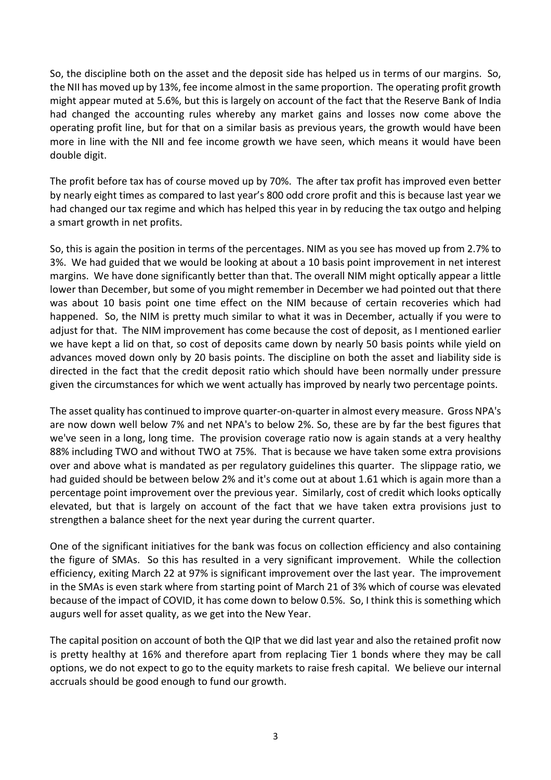So, the discipline both on the asset and the deposit side has helped us in terms of our margins. So, the NII has moved up by 13%, fee income almost in the same proportion. The operating profit growth might appear muted at 5.6%, but this is largely on account of the fact that the Reserve Bank of India had changed the accounting rules whereby any market gains and losses now come above the operating profit line, but for that on a similar basis as previous years, the growth would have been more in line with the NII and fee income growth we have seen, which means it would have been double digit.

The profit before tax has of course moved up by 70%. The after tax profit has improved even better by nearly eight times as compared to last year's 800 odd crore profit and this is because last year we had changed our tax regime and which has helped this year in by reducing the tax outgo and helping a smart growth in net profits.

So, this is again the position in terms of the percentages. NIM as you see has moved up from 2.7% to 3%. We had guided that we would be looking at about a 10 basis point improvement in net interest margins. We have done significantly better than that. The overall NIM might optically appear a little lower than December, but some of you might remember in December we had pointed out that there was about 10 basis point one time effect on the NIM because of certain recoveries which had happened. So, the NIM is pretty much similar to what it was in December, actually if you were to adjust for that. The NIM improvement has come because the cost of deposit, as I mentioned earlier we have kept a lid on that, so cost of deposits came down by nearly 50 basis points while yield on advances moved down only by 20 basis points. The discipline on both the asset and liability side is directed in the fact that the credit deposit ratio which should have been normally under pressure given the circumstances for which we went actually has improved by nearly two percentage points.

The asset quality has continued to improve quarter-on-quarter in almost every measure. Gross NPA's are now down well below 7% and net NPA's to below 2%. So, these are by far the best figures that we've seen in a long, long time. The provision coverage ratio now is again stands at a very healthy 88% including TWO and without TWO at 75%. That is because we have taken some extra provisions over and above what is mandated as per regulatory guidelines this quarter. The slippage ratio, we had guided should be between below 2% and it's come out at about 1.61 which is again more than a percentage point improvement over the previous year. Similarly, cost of credit which looks optically elevated, but that is largely on account of the fact that we have taken extra provisions just to strengthen a balance sheet for the next year during the current quarter.

One of the significant initiatives for the bank was focus on collection efficiency and also containing the figure of SMAs. So this has resulted in a very significant improvement. While the collection efficiency, exiting March 22 at 97% is significant improvement over the last year. The improvement in the SMAs is even stark where from starting point of March 21 of 3% which of course was elevated because of the impact of COVID, it has come down to below 0.5%. So, I think this is something which augurs well for asset quality, as we get into the New Year.

The capital position on account of both the QIP that we did last year and also the retained profit now is pretty healthy at 16% and therefore apart from replacing Tier 1 bonds where they may be call options, we do not expect to go to the equity markets to raise fresh capital. We believe our internal accruals should be good enough to fund our growth.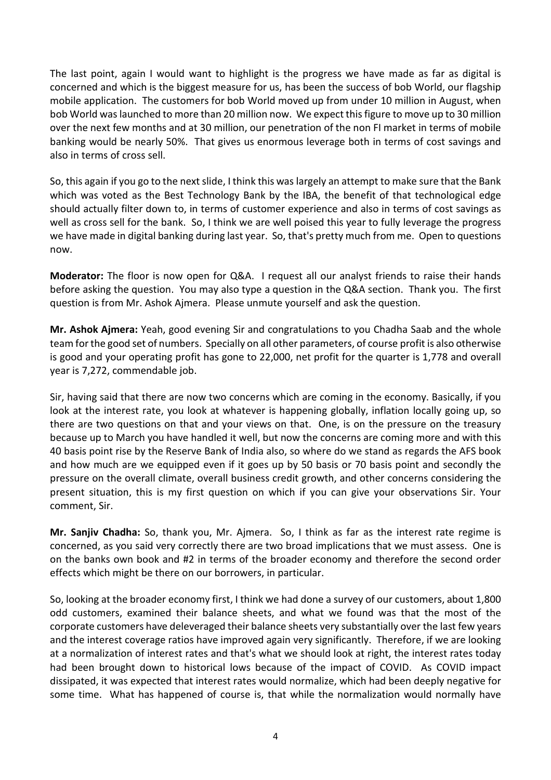The last point, again I would want to highlight is the progress we have made as far as digital is concerned and which is the biggest measure for us, has been the success of bob World, our flagship mobile application. The customers for bob World moved up from under 10 million in August, when bob World waslaunched to more than 20 million now. We expect thisfigure to move up to 30 million over the next few months and at 30 million, our penetration of the non FI market in terms of mobile banking would be nearly 50%. That gives us enormous leverage both in terms of cost savings and also in terms of cross sell.

So, this again if you go to the next slide, I think this was largely an attempt to make sure that the Bank which was voted as the Best Technology Bank by the IBA, the benefit of that technological edge should actually filter down to, in terms of customer experience and also in terms of cost savings as well as cross sell for the bank. So, I think we are well poised this year to fully leverage the progress we have made in digital banking during last year. So, that's pretty much from me. Open to questions now.

**Moderator:** The floor is now open for Q&A. I request all our analyst friends to raise their hands before asking the question. You may also type a question in the Q&A section. Thank you. The first question is from Mr. Ashok Ajmera. Please unmute yourself and ask the question.

**Mr. Ashok Ajmera:** Yeah, good evening Sir and congratulations to you Chadha Saab and the whole team forthe good set of numbers. Specially on all other parameters, of course profit is also otherwise is good and your operating profit has gone to 22,000, net profit for the quarter is 1,778 and overall year is 7,272, commendable job.

Sir, having said that there are now two concerns which are coming in the economy. Basically, if you look at the interest rate, you look at whatever is happening globally, inflation locally going up, so there are two questions on that and your views on that. One, is on the pressure on the treasury because up to March you have handled it well, but now the concerns are coming more and with this 40 basis point rise by the Reserve Bank of India also, so where do we stand as regards the AFS book and how much are we equipped even if it goes up by 50 basis or 70 basis point and secondly the pressure on the overall climate, overall business credit growth, and other concerns considering the present situation, this is my first question on which if you can give your observations Sir. Your comment, Sir.

**Mr. Sanjiv Chadha:** So, thank you, Mr. Ajmera. So, I think as far as the interest rate regime is concerned, as you said very correctly there are two broad implications that we must assess. One is on the banks own book and #2 in terms of the broader economy and therefore the second order effects which might be there on our borrowers, in particular.

So, looking at the broader economy first, I think we had done a survey of our customers, about 1,800 odd customers, examined their balance sheets, and what we found was that the most of the corporate customers have deleveraged their balance sheets very substantially over the last few years and the interest coverage ratios have improved again very significantly. Therefore, if we are looking at a normalization of interest rates and that's what we should look at right, the interest rates today had been brought down to historical lows because of the impact of COVID. As COVID impact dissipated, it was expected that interest rates would normalize, which had been deeply negative for some time. What has happened of course is, that while the normalization would normally have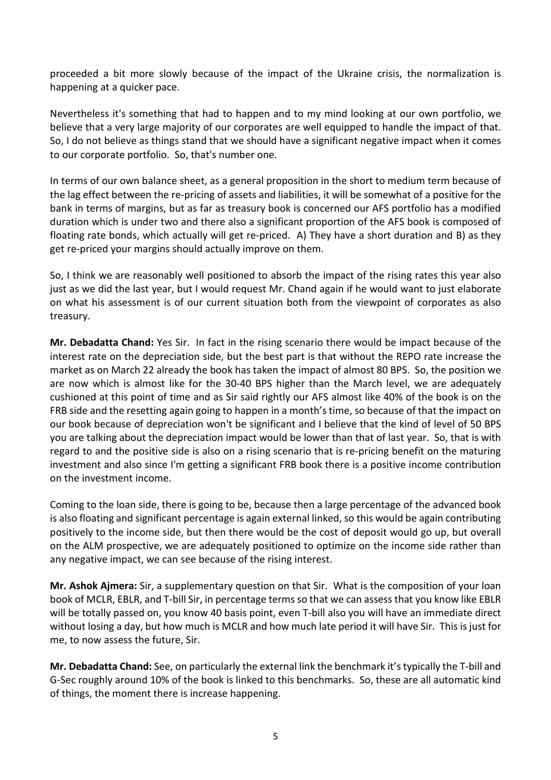proceeded a bit more slowly because of the impact of the Ukraine crisis, the normalization is happening at a quicker pace.

Nevertheless it's something that had to happen and to my mind looking at our own portfolio, we believe that a very large majority of our corporates are well equipped to handle the impact of that. So, I do not believe as things stand that we should have a significant negative impact when it comes to our corporate portfolio. So, that's number one.

In terms of our own balance sheet, as a general proposition in the short to medium term because of the lag effect between the re-pricing of assets and liabilities, it will be somewhat of a positive for the bank in terms of margins, but as far as treasury book is concerned our AFS portfolio has a modified duration which is under two and there also a significant proportion of the AFS book is composed of floating rate bonds, which actually will get re-priced. A) They have a short duration and B) as they get re-priced your margins should actually improve on them.

So, I think we are reasonably well positioned to absorb the impact of the rising rates this year also just as we did the last year, but I would request Mr. Chand again if he would want to just elaborate on what his assessment is of our current situation both from the viewpoint of corporates as also treasury.

**Mr. Debadatta Chand:** Yes Sir. In fact in the rising scenario there would be impact because of the interest rate on the depreciation side, but the best part is that without the REPO rate increase the market as on March 22 already the book has taken the impact of almost 80 BPS. So, the position we are now which is almost like for the 30-40 BPS higher than the March level, we are adequately cushioned at this point of time and as Sir said rightly our AFS almost like 40% of the book is on the FRB side and the resetting again going to happen in a month's time, so because of that the impact on our book because of depreciation won't be significant and I believe that the kind of level of 50 BPS you are talking about the depreciation impact would be lower than that of last year. So, that is with regard to and the positive side is also on a rising scenario that is re-pricing benefit on the maturing investment and also since I'm getting a significant FRB book there is a positive income contribution on the investment income.

Coming to the loan side, there is going to be, because then a large percentage of the advanced book is also floating and significant percentage is again external linked, so this would be again contributing positively to the income side, but then there would be the cost of deposit would go up, but overall on the ALM prospective, we are adequately positioned to optimize on the income side rather than any negative impact, we can see because of the rising interest.

**Mr. Ashok Ajmera:** Sir, a supplementary question on that Sir. What is the composition of your loan book of MCLR, EBLR, and T-bill Sir, in percentage terms so that we can assess that you know like EBLR will be totally passed on, you know 40 basis point, even T-bill also you will have an immediate direct without losing a day, but how much is MCLR and how much late period it will have Sir. This is just for me, to now assess the future, Sir.

**Mr. Debadatta Chand:** See, on particularly the external link the benchmark it'stypically the T-bill and G-Sec roughly around 10% of the book is linked to this benchmarks. So, these are all automatic kind of things, the moment there is increase happening.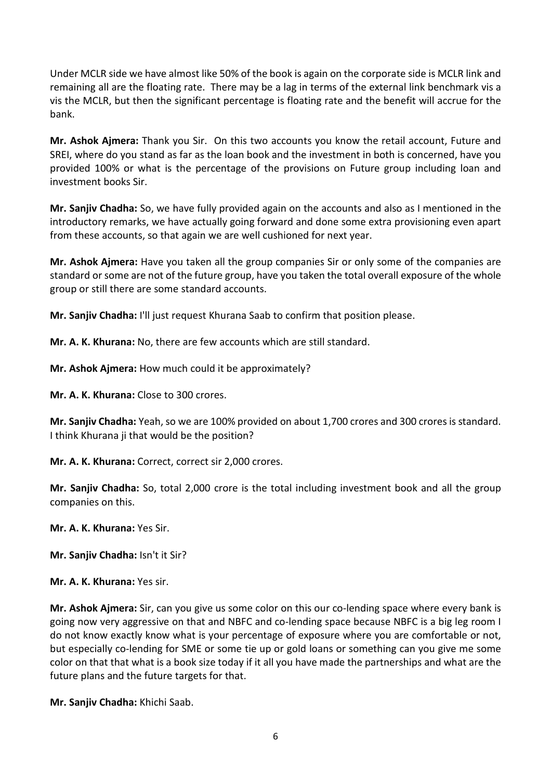Under MCLR side we have almost like 50% of the book is again on the corporate side is MCLR link and remaining all are the floating rate. There may be a lag in terms of the external link benchmark vis a vis the MCLR, but then the significant percentage is floating rate and the benefit will accrue for the bank.

**Mr. Ashok Ajmera:** Thank you Sir. On this two accounts you know the retail account, Future and SREI, where do you stand as far as the loan book and the investment in both is concerned, have you provided 100% or what is the percentage of the provisions on Future group including loan and investment books Sir.

**Mr. Sanjiv Chadha:** So, we have fully provided again on the accounts and also as I mentioned in the introductory remarks, we have actually going forward and done some extra provisioning even apart from these accounts, so that again we are well cushioned for next year.

**Mr. Ashok Ajmera:** Have you taken all the group companies Sir or only some of the companies are standard or some are not of the future group, have you taken the total overall exposure of the whole group or still there are some standard accounts.

**Mr. Sanjiv Chadha:** I'll just request Khurana Saab to confirm that position please.

**Mr. A. K. Khurana:** No, there are few accounts which are still standard.

**Mr. Ashok Ajmera:** How much could it be approximately?

**Mr. A. K. Khurana:** Close to 300 crores.

**Mr. Sanjiv Chadha:** Yeah, so we are 100% provided on about 1,700 crores and 300 crores is standard. I think Khurana ji that would be the position?

**Mr. A. K. Khurana:** Correct, correct sir 2,000 crores.

**Mr. Sanjiv Chadha:** So, total 2,000 crore is the total including investment book and all the group companies on this.

**Mr. A. K. Khurana:** Yes Sir.

**Mr. Sanjiv Chadha:** Isn't it Sir?

**Mr. A. K. Khurana:** Yes sir.

**Mr. Ashok Ajmera:** Sir, can you give us some color on this our co-lending space where every bank is going now very aggressive on that and NBFC and co-lending space because NBFC is a big leg room I do not know exactly know what is your percentage of exposure where you are comfortable or not, but especially co-lending for SME or some tie up or gold loans or something can you give me some color on that that what is a book size today if it all you have made the partnerships and what are the future plans and the future targets for that.

**Mr. Sanjiv Chadha:** Khichi Saab.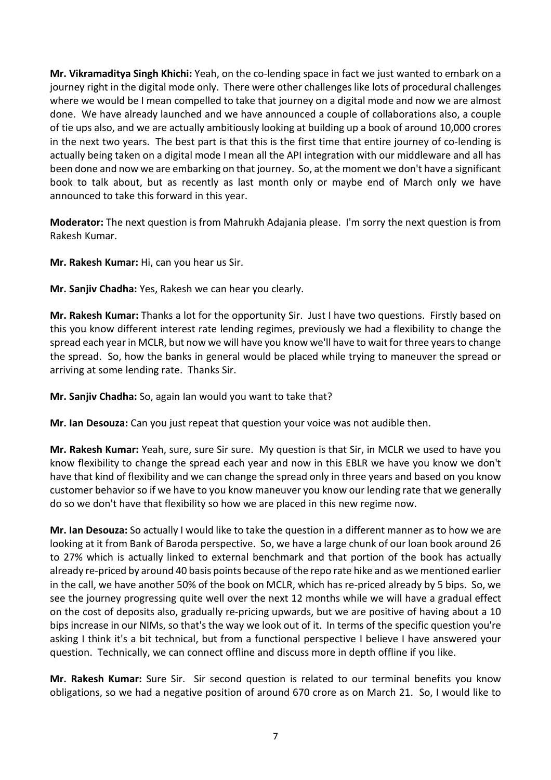**Mr. Vikramaditya Singh Khichi:** Yeah, on the co-lending space in fact we just wanted to embark on a journey right in the digital mode only. There were other challenges like lots of procedural challenges where we would be I mean compelled to take that journey on a digital mode and now we are almost done. We have already launched and we have announced a couple of collaborations also, a couple of tie ups also, and we are actually ambitiously looking at building up a book of around 10,000 crores in the next two years. The best part is that this is the first time that entire journey of co-lending is actually being taken on a digital mode I mean all the API integration with our middleware and all has been done and now we are embarking on that journey. So, at the moment we don't have a significant book to talk about, but as recently as last month only or maybe end of March only we have announced to take this forward in this year.

**Moderator:** The next question is from Mahrukh Adajania please. I'm sorry the next question is from Rakesh Kumar.

**Mr. Rakesh Kumar:** Hi, can you hear us Sir.

**Mr. Sanjiv Chadha:** Yes, Rakesh we can hear you clearly.

**Mr. Rakesh Kumar:** Thanks a lot for the opportunity Sir. Just I have two questions. Firstly based on this you know different interest rate lending regimes, previously we had a flexibility to change the spread each year in MCLR, but now we will have you know we'll have to wait for three yearsto change the spread. So, how the banks in general would be placed while trying to maneuver the spread or arriving at some lending rate. Thanks Sir.

**Mr. Sanjiv Chadha:** So, again Ian would you want to take that?

**Mr. Ian Desouza:** Can you just repeat that question your voice was not audible then.

**Mr. Rakesh Kumar:** Yeah, sure, sure Sir sure. My question is that Sir, in MCLR we used to have you know flexibility to change the spread each year and now in this EBLR we have you know we don't have that kind of flexibility and we can change the spread only in three years and based on you know customer behavior so if we have to you know maneuver you know our lending rate that we generally do so we don't have that flexibility so how we are placed in this new regime now.

**Mr. Ian Desouza:** So actually I would like to take the question in a different manner as to how we are looking at it from Bank of Baroda perspective. So, we have a large chunk of our loan book around 26 to 27% which is actually linked to external benchmark and that portion of the book has actually already re-priced by around 40 basis points because of the repo rate hike and as we mentioned earlier in the call, we have another 50% of the book on MCLR, which has re-priced already by 5 bips. So, we see the journey progressing quite well over the next 12 months while we will have a gradual effect on the cost of deposits also, gradually re-pricing upwards, but we are positive of having about a 10 bips increase in our NIMs, so that's the way we look out of it. In terms of the specific question you're asking I think it's a bit technical, but from a functional perspective I believe I have answered your question. Technically, we can connect offline and discuss more in depth offline if you like.

**Mr. Rakesh Kumar:** Sure Sir. Sir second question is related to our terminal benefits you know obligations, so we had a negative position of around 670 crore as on March 21. So, I would like to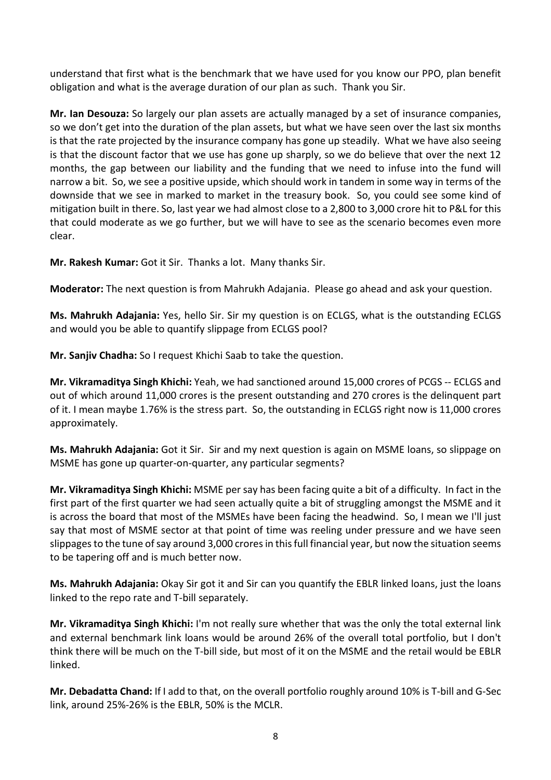understand that first what is the benchmark that we have used for you know our PPO, plan benefit obligation and what is the average duration of our plan as such. Thank you Sir.

**Mr. Ian Desouza:** So largely our plan assets are actually managed by a set of insurance companies, so we don't get into the duration of the plan assets, but what we have seen over the last six months is that the rate projected by the insurance company has gone up steadily. What we have also seeing is that the discount factor that we use has gone up sharply, so we do believe that over the next 12 months, the gap between our liability and the funding that we need to infuse into the fund will narrow a bit. So, we see a positive upside, which should work in tandem in some way in terms of the downside that we see in marked to market in the treasury book. So, you could see some kind of mitigation built in there. So, last year we had almost close to a 2,800 to 3,000 crore hit to P&L for this that could moderate as we go further, but we will have to see as the scenario becomes even more clear.

**Mr. Rakesh Kumar:** Got it Sir. Thanks a lot. Many thanks Sir.

**Moderator:** The next question is from Mahrukh Adajania. Please go ahead and ask your question.

**Ms. Mahrukh Adajania:** Yes, hello Sir. Sir my question is on ECLGS, what is the outstanding ECLGS and would you be able to quantify slippage from ECLGS pool?

**Mr. Sanjiv Chadha:** So I request Khichi Saab to take the question.

**Mr. Vikramaditya Singh Khichi:** Yeah, we had sanctioned around 15,000 crores of PCGS -- ECLGS and out of which around 11,000 crores is the present outstanding and 270 crores is the delinquent part of it. I mean maybe 1.76% is the stress part. So, the outstanding in ECLGS right now is 11,000 crores approximately.

**Ms. Mahrukh Adajania:** Got it Sir. Sir and my next question is again on MSME loans, so slippage on MSME has gone up quarter-on-quarter, any particular segments?

**Mr. Vikramaditya Singh Khichi:** MSME per say has been facing quite a bit of a difficulty. In fact in the first part of the first quarter we had seen actually quite a bit of struggling amongst the MSME and it is across the board that most of the MSMEs have been facing the headwind. So, I mean we I'll just say that most of MSME sector at that point of time was reeling under pressure and we have seen slippages to the tune of say around 3,000 crores in this full financial year, but now the situation seems to be tapering off and is much better now.

**Ms. Mahrukh Adajania:** Okay Sir got it and Sir can you quantify the EBLR linked loans, just the loans linked to the repo rate and T-bill separately.

**Mr. Vikramaditya Singh Khichi:** I'm not really sure whether that was the only the total external link and external benchmark link loans would be around 26% of the overall total portfolio, but I don't think there will be much on the T-bill side, but most of it on the MSME and the retail would be EBLR linked.

**Mr. Debadatta Chand:** If I add to that, on the overall portfolio roughly around 10% is T-bill and G-Sec link, around 25%-26% is the EBLR, 50% is the MCLR.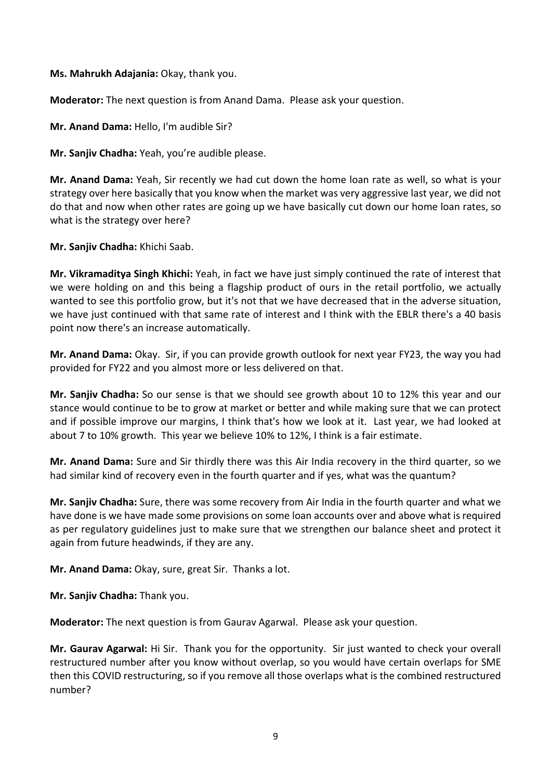**Ms. Mahrukh Adajania:** Okay, thank you.

**Moderator:** The next question is from Anand Dama. Please ask your question.

**Mr. Anand Dama:** Hello, I'm audible Sir?

**Mr. Sanjiv Chadha:** Yeah, you're audible please.

**Mr. Anand Dama:** Yeah, Sir recently we had cut down the home loan rate as well, so what is your strategy over here basically that you know when the market was very aggressive last year, we did not do that and now when other rates are going up we have basically cut down our home loan rates, so what is the strategy over here?

**Mr. Sanjiv Chadha:** Khichi Saab.

**Mr. Vikramaditya Singh Khichi:** Yeah, in fact we have just simply continued the rate of interest that we were holding on and this being a flagship product of ours in the retail portfolio, we actually wanted to see this portfolio grow, but it's not that we have decreased that in the adverse situation, we have just continued with that same rate of interest and I think with the EBLR there's a 40 basis point now there's an increase automatically.

**Mr. Anand Dama:** Okay. Sir, if you can provide growth outlook for next year FY23, the way you had provided for FY22 and you almost more or less delivered on that.

**Mr. Sanjiv Chadha:** So our sense is that we should see growth about 10 to 12% this year and our stance would continue to be to grow at market or better and while making sure that we can protect and if possible improve our margins, I think that's how we look at it. Last year, we had looked at about 7 to 10% growth. This year we believe 10% to 12%, I think is a fair estimate.

**Mr. Anand Dama:** Sure and Sir thirdly there was this Air India recovery in the third quarter, so we had similar kind of recovery even in the fourth quarter and if yes, what was the quantum?

**Mr. Sanjiv Chadha:** Sure, there was some recovery from Air India in the fourth quarter and what we have done is we have made some provisions on some loan accounts over and above what is required as per regulatory guidelines just to make sure that we strengthen our balance sheet and protect it again from future headwinds, if they are any.

**Mr. Anand Dama:** Okay, sure, great Sir. Thanks a lot.

**Mr. Sanjiv Chadha:** Thank you.

**Moderator:** The next question is from Gaurav Agarwal. Please ask your question.

**Mr. Gaurav Agarwal:** Hi Sir. Thank you for the opportunity. Sir just wanted to check your overall restructured number after you know without overlap, so you would have certain overlaps for SME then this COVID restructuring, so if you remove all those overlaps what is the combined restructured number?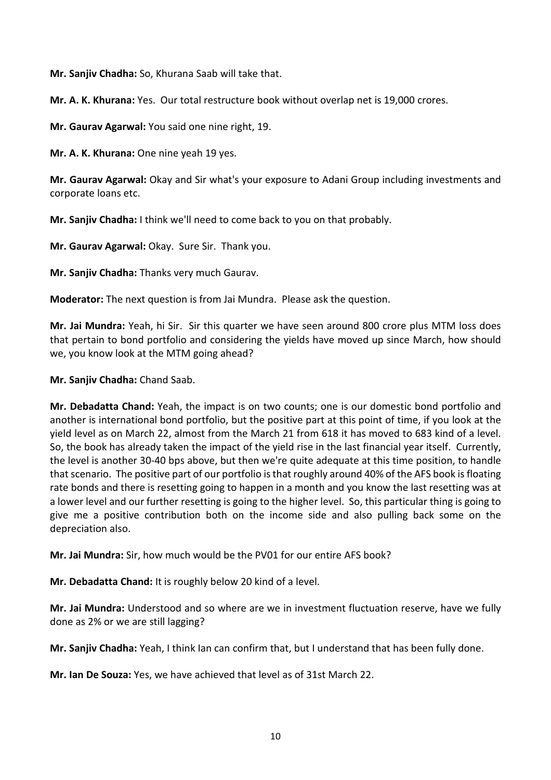**Mr. Sanjiv Chadha:** So, Khurana Saab will take that.

**Mr. A. K. Khurana:** Yes. Our total restructure book without overlap net is 19,000 crores.

**Mr. Gaurav Agarwal:** You said one nine right, 19.

**Mr. A. K. Khurana:** One nine yeah 19 yes.

**Mr. Gaurav Agarwal:** Okay and Sir what's your exposure to Adani Group including investments and corporate loans etc.

**Mr. Sanjiv Chadha:** I think we'll need to come back to you on that probably.

**Mr. Gaurav Agarwal:** Okay. Sure Sir. Thank you.

**Mr. Sanjiv Chadha:** Thanks very much Gaurav.

**Moderator:** The next question is from Jai Mundra. Please ask the question.

**Mr. Jai Mundra:** Yeah, hi Sir. Sir this quarter we have seen around 800 crore plus MTM loss does that pertain to bond portfolio and considering the yields have moved up since March, how should we, you know look at the MTM going ahead?

**Mr. Sanjiv Chadha:** Chand Saab.

**Mr. Debadatta Chand:** Yeah, the impact is on two counts; one is our domestic bond portfolio and another is international bond portfolio, but the positive part at this point of time, if you look at the yield level as on March 22, almost from the March 21 from 618 it has moved to 683 kind of a level. So, the book has already taken the impact of the yield rise in the last financial year itself. Currently, the level is another 30-40 bps above, but then we're quite adequate at this time position, to handle that scenario. The positive part of our portfolio isthat roughly around 40% of the AFS book isfloating rate bonds and there is resetting going to happen in a month and you know the last resetting was at a lower level and our further resetting is going to the higher level. So, this particular thing is going to give me a positive contribution both on the income side and also pulling back some on the depreciation also.

**Mr. Jai Mundra:** Sir, how much would be the PV01 for our entire AFS book?

**Mr. Debadatta Chand:** It is roughly below 20 kind of a level.

**Mr. Jai Mundra:** Understood and so where are we in investment fluctuation reserve, have we fully done as 2% or we are still lagging?

**Mr. Sanjiv Chadha:** Yeah, I think Ian can confirm that, but I understand that has been fully done.

**Mr. Ian De Souza:** Yes, we have achieved that level as of 31st March 22.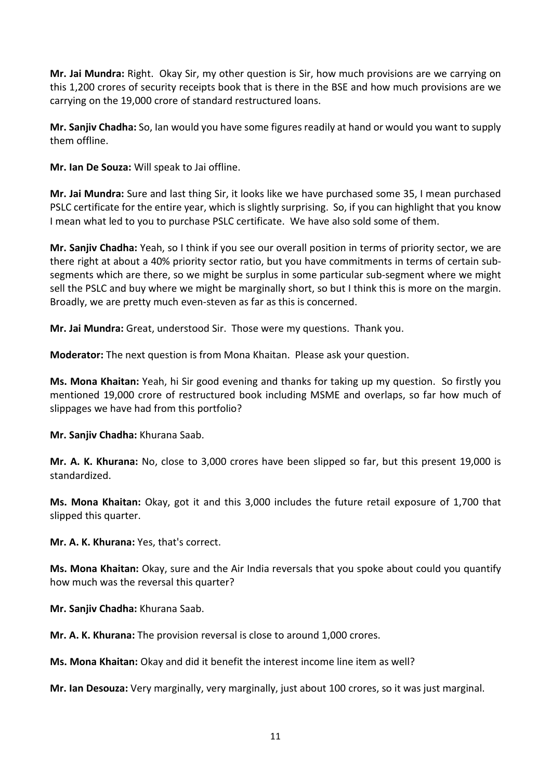**Mr. Jai Mundra:** Right. Okay Sir, my other question is Sir, how much provisions are we carrying on this 1,200 crores of security receipts book that is there in the BSE and how much provisions are we carrying on the 19,000 crore of standard restructured loans.

**Mr. Sanjiv Chadha:** So, Ian would you have some figures readily at hand or would you want to supply them offline.

**Mr. Ian De Souza:** Will speak to Jai offline.

**Mr. Jai Mundra:** Sure and last thing Sir, it looks like we have purchased some 35, I mean purchased PSLC certificate for the entire year, which is slightly surprising. So, if you can highlight that you know I mean what led to you to purchase PSLC certificate. We have also sold some of them.

**Mr. Sanjiv Chadha:** Yeah, so I think if you see our overall position in terms of priority sector, we are there right at about a 40% priority sector ratio, but you have commitments in terms of certain subsegments which are there, so we might be surplus in some particular sub-segment where we might sell the PSLC and buy where we might be marginally short, so but I think this is more on the margin. Broadly, we are pretty much even-steven as far as this is concerned.

**Mr. Jai Mundra:** Great, understood Sir. Those were my questions. Thank you.

**Moderator:** The next question is from Mona Khaitan. Please ask your question.

**Ms. Mona Khaitan:** Yeah, hi Sir good evening and thanks for taking up my question. So firstly you mentioned 19,000 crore of restructured book including MSME and overlaps, so far how much of slippages we have had from this portfolio?

**Mr. Sanjiv Chadha:** Khurana Saab.

**Mr. A. K. Khurana:** No, close to 3,000 crores have been slipped so far, but this present 19,000 is standardized.

**Ms. Mona Khaitan:** Okay, got it and this 3,000 includes the future retail exposure of 1,700 that slipped this quarter.

**Mr. A. K. Khurana:** Yes, that's correct.

**Ms. Mona Khaitan:** Okay, sure and the Air India reversals that you spoke about could you quantify how much was the reversal this quarter?

**Mr. Sanjiv Chadha:** Khurana Saab.

**Mr. A. K. Khurana:** The provision reversal is close to around 1,000 crores.

**Ms. Mona Khaitan:** Okay and did it benefit the interest income line item as well?

**Mr. Ian Desouza:** Very marginally, very marginally, just about 100 crores, so it was just marginal.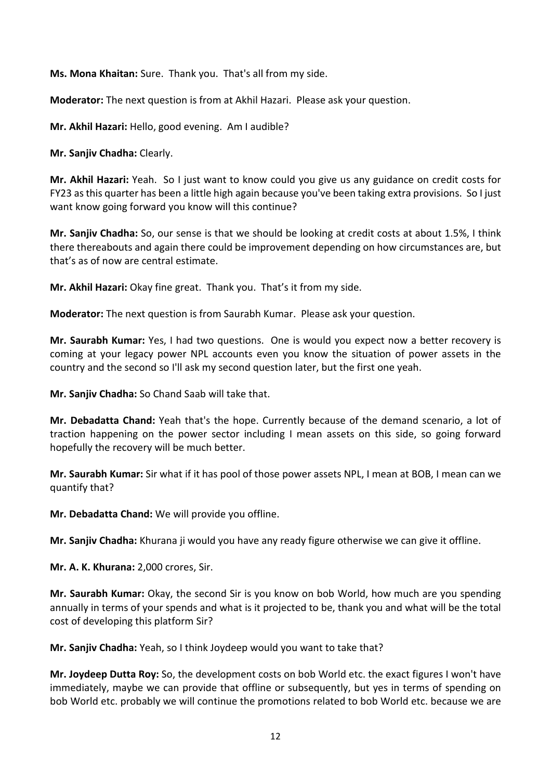**Ms. Mona Khaitan:** Sure. Thank you. That's all from my side.

**Moderator:** The next question is from at Akhil Hazari. Please ask your question.

**Mr. Akhil Hazari:** Hello, good evening. Am I audible?

**Mr. Sanjiv Chadha:** Clearly.

**Mr. Akhil Hazari:** Yeah. So I just want to know could you give us any guidance on credit costs for FY23 asthis quarter has been a little high again because you've been taking extra provisions. So I just want know going forward you know will this continue?

**Mr. Sanjiv Chadha:** So, our sense is that we should be looking at credit costs at about 1.5%, I think there thereabouts and again there could be improvement depending on how circumstances are, but that's as of now are central estimate.

**Mr. Akhil Hazari:** Okay fine great. Thank you. That's it from my side.

**Moderator:** The next question is from Saurabh Kumar. Please ask your question.

**Mr. Saurabh Kumar:** Yes, I had two questions. One is would you expect now a better recovery is coming at your legacy power NPL accounts even you know the situation of power assets in the country and the second so I'll ask my second question later, but the first one yeah.

**Mr. Sanjiv Chadha:** So Chand Saab will take that.

**Mr. Debadatta Chand:** Yeah that's the hope. Currently because of the demand scenario, a lot of traction happening on the power sector including I mean assets on this side, so going forward hopefully the recovery will be much better.

**Mr. Saurabh Kumar:** Sir what if it has pool of those power assets NPL, I mean at BOB, I mean can we quantify that?

**Mr. Debadatta Chand:** We will provide you offline.

**Mr. Sanjiv Chadha:** Khurana ji would you have any ready figure otherwise we can give it offline.

**Mr. A. K. Khurana:** 2,000 crores, Sir.

**Mr. Saurabh Kumar:** Okay, the second Sir is you know on bob World, how much are you spending annually in terms of your spends and what is it projected to be, thank you and what will be the total cost of developing this platform Sir?

**Mr. Sanjiv Chadha:** Yeah, so I think Joydeep would you want to take that?

**Mr. Joydeep Dutta Roy:** So, the development costs on bob World etc. the exact figures I won't have immediately, maybe we can provide that offline or subsequently, but yes in terms of spending on bob World etc. probably we will continue the promotions related to bob World etc. because we are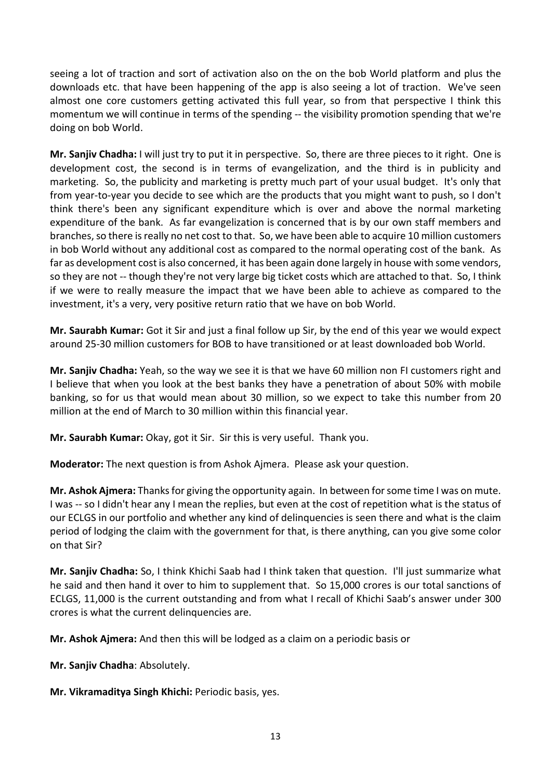seeing a lot of traction and sort of activation also on the on the bob World platform and plus the downloads etc. that have been happening of the app is also seeing a lot of traction. We've seen almost one core customers getting activated this full year, so from that perspective I think this momentum we will continue in terms of the spending -- the visibility promotion spending that we're doing on bob World.

**Mr. Sanjiv Chadha:** I will just try to put it in perspective. So, there are three pieces to it right. One is development cost, the second is in terms of evangelization, and the third is in publicity and marketing. So, the publicity and marketing is pretty much part of your usual budget. It's only that from year-to-year you decide to see which are the products that you might want to push, so I don't think there's been any significant expenditure which is over and above the normal marketing expenditure of the bank. As far evangelization is concerned that is by our own staff members and branches, so there is really no net cost to that. So, we have been able to acquire 10 million customers in bob World without any additional cost as compared to the normal operating cost of the bank. As far as development cost is also concerned, it has been again done largely in house with some vendors, so they are not -- though they're not very large big ticket costs which are attached to that. So, I think if we were to really measure the impact that we have been able to achieve as compared to the investment, it's a very, very positive return ratio that we have on bob World.

**Mr. Saurabh Kumar:** Got it Sir and just a final follow up Sir, by the end of this year we would expect around 25-30 million customers for BOB to have transitioned or at least downloaded bob World.

**Mr. Sanjiv Chadha:** Yeah, so the way we see it is that we have 60 million non FI customers right and I believe that when you look at the best banks they have a penetration of about 50% with mobile banking, so for us that would mean about 30 million, so we expect to take this number from 20 million at the end of March to 30 million within this financial year.

**Mr. Saurabh Kumar:** Okay, got it Sir. Sir this is very useful. Thank you.

**Moderator:** The next question is from Ashok Ajmera. Please ask your question.

Mr. Ashok Ajmera: Thanks for giving the opportunity again. In between for some time I was on mute. I was -- so I didn't hear any I mean the replies, but even at the cost of repetition what is the status of our ECLGS in our portfolio and whether any kind of delinquencies is seen there and what is the claim period of lodging the claim with the government for that, is there anything, can you give some color on that Sir?

**Mr. Sanjiv Chadha:** So, I think Khichi Saab had I think taken that question. I'll just summarize what he said and then hand it over to him to supplement that. So 15,000 crores is our total sanctions of ECLGS, 11,000 is the current outstanding and from what I recall of Khichi Saab's answer under 300 crores is what the current delinquencies are.

**Mr. Ashok Ajmera:** And then this will be lodged as a claim on a periodic basis or

**Mr. Sanjiv Chadha**: Absolutely.

**Mr. Vikramaditya Singh Khichi:** Periodic basis, yes.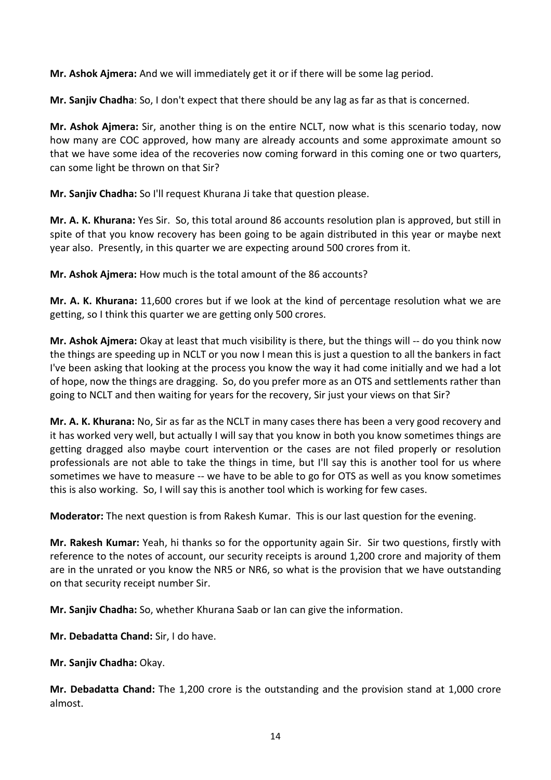**Mr. Ashok Ajmera:** And we will immediately get it or if there will be some lag period.

**Mr. Sanjiv Chadha**: So, I don't expect that there should be any lag as far as that is concerned.

**Mr. Ashok Ajmera:** Sir, another thing is on the entire NCLT, now what is this scenario today, now how many are COC approved, how many are already accounts and some approximate amount so that we have some idea of the recoveries now coming forward in this coming one or two quarters, can some light be thrown on that Sir?

**Mr. Sanjiv Chadha:** So I'll request Khurana Ji take that question please.

**Mr. A. K. Khurana:** Yes Sir. So, this total around 86 accounts resolution plan is approved, but still in spite of that you know recovery has been going to be again distributed in this year or maybe next year also. Presently, in this quarter we are expecting around 500 crores from it.

**Mr. Ashok Ajmera:** How much is the total amount of the 86 accounts?

**Mr. A. K. Khurana:** 11,600 crores but if we look at the kind of percentage resolution what we are getting, so I think this quarter we are getting only 500 crores.

**Mr. Ashok Ajmera:** Okay at least that much visibility is there, but the things will -- do you think now the things are speeding up in NCLT or you now I mean this is just a question to all the bankers in fact I've been asking that looking at the process you know the way it had come initially and we had a lot of hope, now the things are dragging. So, do you prefer more as an OTS and settlements rather than going to NCLT and then waiting for years for the recovery, Sir just your views on that Sir?

**Mr. A. K. Khurana:** No, Sir as far as the NCLT in many cases there has been a very good recovery and it has worked very well, but actually I will say that you know in both you know sometimes things are getting dragged also maybe court intervention or the cases are not filed properly or resolution professionals are not able to take the things in time, but I'll say this is another tool for us where sometimes we have to measure -- we have to be able to go for OTS as well as you know sometimes this is also working. So, I will say this is another tool which is working for few cases.

**Moderator:** The next question is from Rakesh Kumar. This is our last question for the evening.

**Mr. Rakesh Kumar:** Yeah, hi thanks so for the opportunity again Sir. Sir two questions, firstly with reference to the notes of account, our security receipts is around 1,200 crore and majority of them are in the unrated or you know the NR5 or NR6, so what is the provision that we have outstanding on that security receipt number Sir.

**Mr. Sanjiv Chadha:** So, whether Khurana Saab or Ian can give the information.

**Mr. Debadatta Chand:** Sir, I do have.

**Mr. Sanjiv Chadha:** Okay.

**Mr. Debadatta Chand:** The 1,200 crore is the outstanding and the provision stand at 1,000 crore almost.